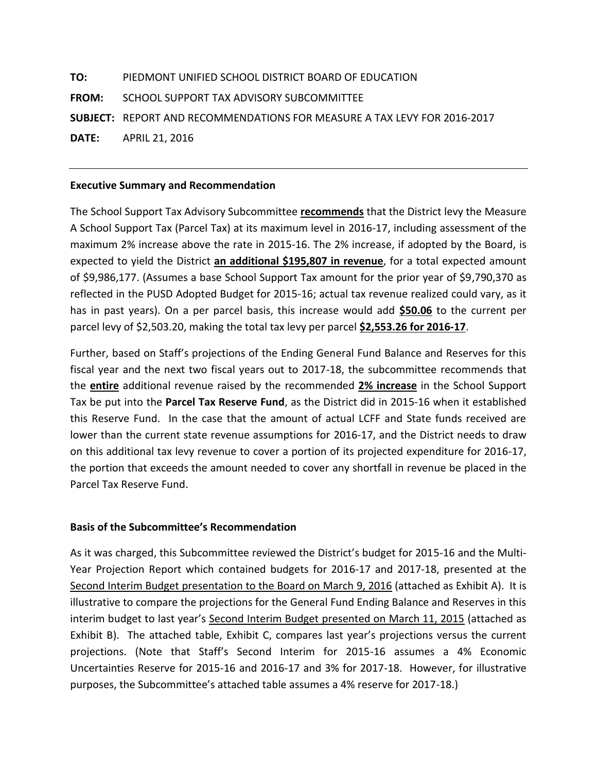**TO:** PIEDMONT UNIFIED SCHOOL DISTRICT BOARD OF EDUCATION **FROM:** SCHOOL SUPPORT TAX ADVISORY SUBCOMMITTEE **SUBJECT:** REPORT AND RECOMMENDATIONS FOR MEASURE A TAX LEVY FOR 2016-2017 **DATE:** APRIL 21, 2016

## **Executive Summary and Recommendation**

The School Support Tax Advisory Subcommittee **recommends** that the District levy the Measure A School Support Tax (Parcel Tax) at its maximum level in 2016-17, including assessment of the maximum 2% increase above the rate in 2015-16. The 2% increase, if adopted by the Board, is expected to yield the District **an additional \$195,807 in revenue**, for a total expected amount of \$9,986,177. (Assumes a base School Support Tax amount for the prior year of \$9,790,370 as reflected in the PUSD Adopted Budget for 2015-16; actual tax revenue realized could vary, as it has in past years). On a per parcel basis, this increase would add **\$50.06** to the current per parcel levy of \$2,503.20, making the total tax levy per parcel **\$2,553.26 for 2016-17**.

Further, based on Staff's projections of the Ending General Fund Balance and Reserves for this fiscal year and the next two fiscal years out to 2017-18, the subcommittee recommends that the **entire** additional revenue raised by the recommended **2% increase** in the School Support Tax be put into the **Parcel Tax Reserve Fund**, as the District did in 2015-16 when it established this Reserve Fund. In the case that the amount of actual LCFF and State funds received are lower than the current state revenue assumptions for 2016-17, and the District needs to draw on this additional tax levy revenue to cover a portion of its projected expenditure for 2016-17, the portion that exceeds the amount needed to cover any shortfall in revenue be placed in the Parcel Tax Reserve Fund.

## **Basis of the Subcommittee's Recommendation**

As it was charged, this Subcommittee reviewed the District's budget for 2015-16 and the Multi-Year Projection Report which contained budgets for 2016-17 and 2017-18, presented at the Second Interim Budget presentation to the Board on March 9, 2016 (attached as Exhibit A). It is illustrative to compare the projections for the General Fund Ending Balance and Reserves in this interim budget to last year's Second Interim Budget presented on March 11, 2015 (attached as Exhibit B). The attached table, Exhibit C, compares last year's projections versus the current projections. (Note that Staff's Second Interim for 2015-16 assumes a 4% Economic Uncertainties Reserve for 2015-16 and 2016-17 and 3% for 2017-18. However, for illustrative purposes, the Subcommittee's attached table assumes a 4% reserve for 2017-18.)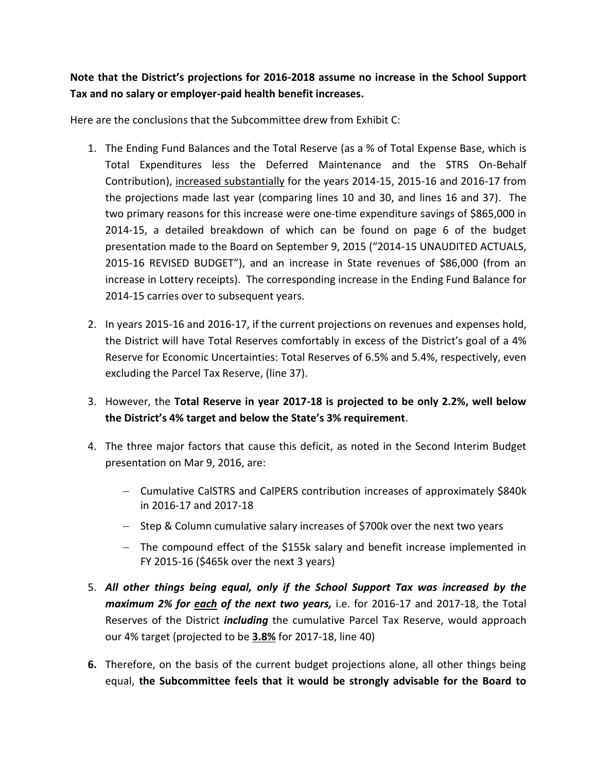## **Note that the District's projections for 2016-2018 assume no increase in the School Support Tax and no salary or employer-paid health benefit increases.**

Here are the conclusions that the Subcommittee drew from Exhibit C:

- 1. The Ending Fund Balances and the Total Reserve (as a % of Total Expense Base, which is Total Expenditures less the Deferred Maintenance and the STRS On-Behalf Contribution), increased substantially for the years 2014-15, 2015-16 and 2016-17 from the projections made last year (comparing lines 10 and 30, and lines 16 and 37). The two primary reasons for this increase were one-time expenditure savings of \$865,000 in 2014-15, a detailed breakdown of which can be found on page 6 of the budget presentation made to the Board on September 9, 2015 ("2014-15 UNAUDITED ACTUALS, 2015-16 REVISED BUDGET"), and an increase in State revenues of \$86,000 (from an increase in Lottery receipts). The corresponding increase in the Ending Fund Balance for 2014-15 carries over to subsequent years.
- 2. In years 2015-16 and 2016-17, if the current projections on revenues and expenses hold, the District will have Total Reserves comfortably in excess of the District's goal of a 4% Reserve for Economic Uncertainties: Total Reserves of 6.5% and 5.4%, respectively, even excluding the Parcel Tax Reserve, (line 37).
- 3. However, the **Total Reserve in year 2017-18 is projected to be only 2.2%, well below the District's 4% target and below the State's 3% requirement**.
- 4. The three major factors that cause this deficit, as noted in the Second Interim Budget presentation on Mar 9, 2016, are:
	- Cumulative CalSTRS and CalPERS contribution increases of approximately \$840k in 2016-17 and 2017-18
	- Step & Column cumulative salary increases of \$700k over the next two years
	- The compound effect of the \$155k salary and benefit increase implemented in FY 2015-16 (\$465k over the next 3 years)
- 5. *All other things being equal, only if the School Support Tax was increased by the maximum 2% for each of the next two years,* i.e. for 2016-17 and 2017-18, the Total Reserves of the District *including* the cumulative Parcel Tax Reserve, would approach our 4% target (projected to be **3.8%** for 2017-18, line 40)
- **6.** Therefore, on the basis of the current budget projections alone, all other things being equal, **the Subcommittee feels that it would be strongly advisable for the Board to**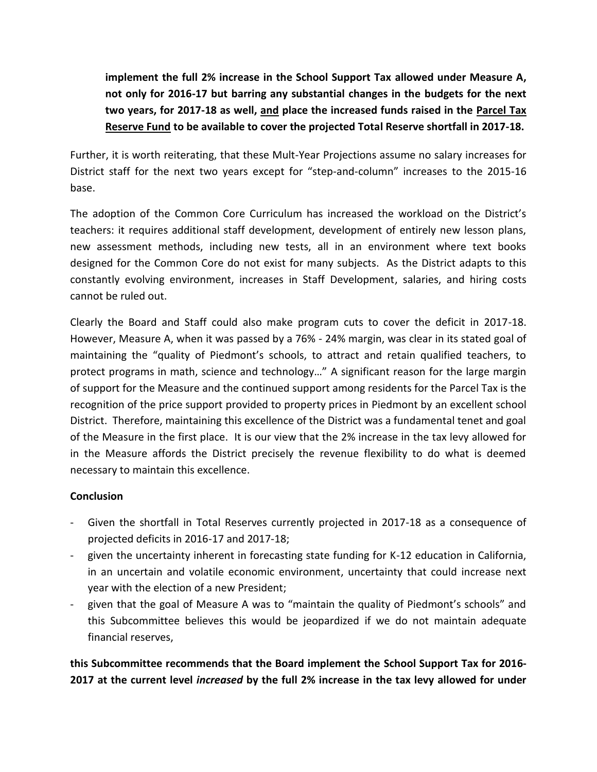**implement the full 2% increase in the School Support Tax allowed under Measure A, not only for 2016-17 but barring any substantial changes in the budgets for the next two years, for 2017-18 as well, and place the increased funds raised in the Parcel Tax Reserve Fund to be available to cover the projected Total Reserve shortfall in 2017-18.** 

Further, it is worth reiterating, that these Mult-Year Projections assume no salary increases for District staff for the next two years except for "step-and-column" increases to the 2015-16 base.

The adoption of the Common Core Curriculum has increased the workload on the District's teachers: it requires additional staff development, development of entirely new lesson plans, new assessment methods, including new tests, all in an environment where text books designed for the Common Core do not exist for many subjects. As the District adapts to this constantly evolving environment, increases in Staff Development, salaries, and hiring costs cannot be ruled out.

Clearly the Board and Staff could also make program cuts to cover the deficit in 2017-18. However, Measure A, when it was passed by a 76% - 24% margin, was clear in its stated goal of maintaining the "quality of Piedmont's schools, to attract and retain qualified teachers, to protect programs in math, science and technology…" A significant reason for the large margin of support for the Measure and the continued support among residents for the Parcel Tax is the recognition of the price support provided to property prices in Piedmont by an excellent school District. Therefore, maintaining this excellence of the District was a fundamental tenet and goal of the Measure in the first place. It is our view that the 2% increase in the tax levy allowed for in the Measure affords the District precisely the revenue flexibility to do what is deemed necessary to maintain this excellence.

## **Conclusion**

- Given the shortfall in Total Reserves currently projected in 2017-18 as a consequence of projected deficits in 2016-17 and 2017-18;
- given the uncertainty inherent in forecasting state funding for K-12 education in California, in an uncertain and volatile economic environment, uncertainty that could increase next year with the election of a new President;
- given that the goal of Measure A was to "maintain the quality of Piedmont's schools" and this Subcommittee believes this would be jeopardized if we do not maintain adequate financial reserves,

**this Subcommittee recommends that the Board implement the School Support Tax for 2016- 2017 at the current level** *increased* **by the full 2% increase in the tax levy allowed for under**